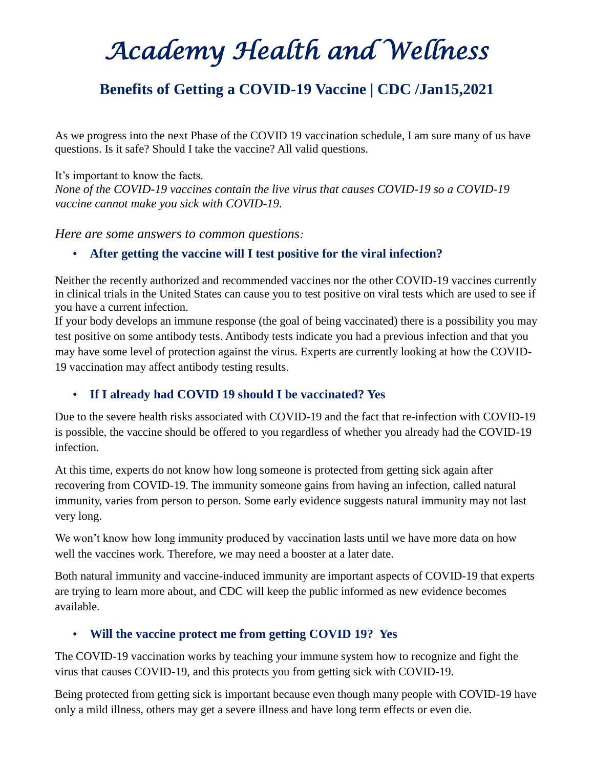## *Academy Health and Wellness*

### **[Benefits of Getting a COVID-19 Vaccine | CDC](https://www.cdc.gov/coronavirus/2019-ncov/vaccines/vaccine-benefits.html) /Jan15,2021**

As we progress into the next Phase of the COVID 19 vaccination schedule, I am sure many of us have questions. Is it safe? Should I take the vaccine? All valid questions.

It's important to know the facts. *None of the COVID-19 vaccines contain the live virus that causes COVID-19 so a COVID-19 vaccine cannot make you sick with COVID-19.*

*Here are some answers to common questions:*

#### • **After getting the vaccine will I test positive for the viral infection?**

Neither the recently authorized and recommended vaccines nor the other COVID-19 vaccines currently in clinical trials in the United States can cause you to test positive on viral tests which are used to see if you have a current infection.

If your body develops an immune response (the goal of being vaccinated) there is a possibility you may test positive on some antibody tests. Antibody tests indicate you had a previous infection and that you may have some level of protection against the virus. Experts are currently looking at how the COVID-19 vaccination may affect antibody testing results.

### • **If I already had COVID 19 should I be vaccinated? Yes**

Due to the severe health risks associated with COVID-19 and the fact that re-infection with COVID-19 is possible, the vaccine should be offered to you regardless of whether you already had the COVID-19 infection.

At this time, experts do not know how long someone is protected from getting sick again after recovering from COVID-19. The immunity someone gains from having an infection, called natural immunity, varies from person to person. Some early evidence suggests natural immunity may not last very long.

We won't know how long immunity produced by vaccination lasts until we have more data on how well the vaccines work. Therefore, we may need a booster at a later date.

Both natural immunity and vaccine-induced immunity are important aspects of COVID-19 that experts are trying to learn more about, and CDC will keep the public informed as new evidence becomes available.

### • **Will the vaccine protect me from getting COVID 19? Yes**

The COVID-19 vaccination works by teaching your immune system how to recognize and fight the virus that causes COVID-19, and this protects you from getting sick with COVID-19.

Being protected from getting sick is important because even though many people with COVID-19 have only a mild illness, others may get a severe illness and have long term effects or even die.